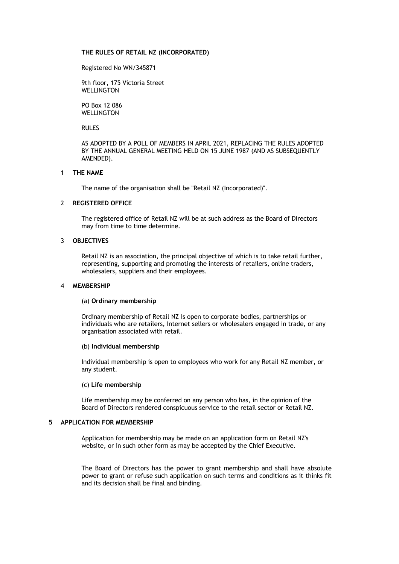## **THE RULES OF RETAIL NZ (INCORPORATED)**

Registered No WN/345871

9th floor, 175 Victoria Street WELLINGTON

PO Box 12 086 WELLINGTON

RULES

AS ADOPTED BY A POLL OF MEMBERS IN APRIL 2021, REPLACING THE RULES ADOPTED BY THE ANNUAL GENERAL MEETING HELD ON 15 JUNE 1987 (AND AS SUBSEQUENTLY AMENDED).

## 1 **THE NAME**

The name of the organisation shall be "Retail NZ (Incorporated)".

## 2 **REGISTERED OFFICE**

The registered office of Retail NZ will be at such address as the Board of Directors may from time to time determine.

## 3 **OBJECTIVES**

Retail NZ is an association, the principal objective of which is to take retail further, representing, supporting and promoting the interests of retailers, online traders, wholesalers, suppliers and their employees.

#### 4 **MEMBERSHIP**

#### (a) **Ordinary membership**

Ordinary membership of Retail NZ is open to corporate bodies, partnerships or individuals who are retailers, Internet sellers or wholesalers engaged in trade, or any organisation associated with retail.

#### (b) **Individual membership**

Individual membership is open to employees who work for any Retail NZ member, or any student.

#### (c) **Life membership**

Life membership may be conferred on any person who has, in the opinion of the Board of Directors rendered conspicuous service to the retail sector or Retail NZ.

# **5 APPLICATION FOR MEMBERSHIP**

Application for membership may be made on an application form on Retail NZ's website, or in such other form as may be accepted by the Chief Executive.

The Board of Directors has the power to grant membership and shall have absolute power to grant or refuse such application on such terms and conditions as it thinks fit and its decision shall be final and binding.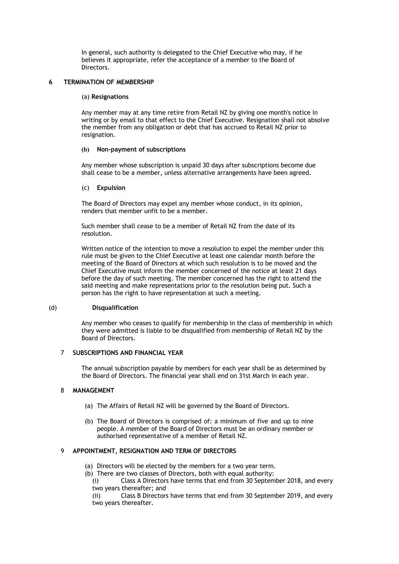In general, such authority is delegated to the Chief Executive who may, if he believes it appropriate, refer the acceptance of a member to the Board of Directors.

# **6 TERMINATION OF MEMBERSHIP**

## (a) **Resignations**

Any member may at any time retire from Retail NZ by giving one month's notice in writing or by email to that effect to the Chief Executive. Resignation shall not absolve the member from any obligation or debt that has accrued to Retail NZ prior to resignation.

# **(b) Non-payment of subscriptions**

Any member whose subscription is unpaid 30 days after subscriptions become due shall cease to be a member, unless alternative arrangements have been agreed.

# (c) **Expulsion**

The Board of Directors may expel any member whose conduct, in its opinion, renders that member unfit to be a member.

Such member shall cease to be a member of Retail NZ from the date of its resolution.

Written notice of the intention to move a resolution to expel the member under this rule must be given to the Chief Executive at least one calendar month before the meeting of the Board of Directors at which such resolution is to be moved and the Chief Executive must inform the member concerned of the notice at least 21 days before the day of such meeting. The member concerned has the right to attend the said meeting and make representations prior to the resolution being put. Such a person has the right to have representation at such a meeting.

# (d) **Disqualification**

Any member who ceases to qualify for membership in the class of membership in which they were admitted is liable to be disqualified from membership of Retail NZ by the Board of Directors.

# 7 **SUBSCRIPTIONS AND FINANCIAL YEAR**

The annual subscription payable by members for each year shall be as determined by the Board of Directors. The financial year shall end on 31st March in each year.

# 8 **MANAGEMENT**

- (a) The Affairs of Retail NZ will be governed by the Board of Directors.
- (b) The Board of Directors is comprised of: a minimum of five and up to nine people. A member of the Board of Directors must be an ordinary member or authorised representative of a member of Retail NZ.

# 9 **APPOINTMENT, RESIGNATION AND TERM OF DIRECTORS**

- (a) Directors will be elected by the members for a two year term.
- (b) There are two classes of Directors, both with equal authority:

(i) Class A Directors have terms that end from 30 September 2018, and every two years thereafter; and

(ii) Class B Directors have terms that end from 30 September 2019, and every two years thereafter.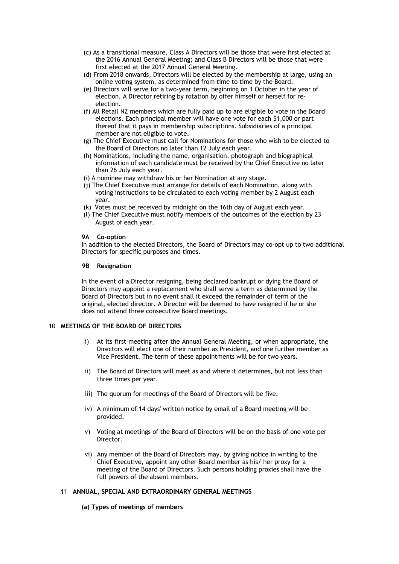- (c) As a transitional measure, Class A Directors will be those that were first elected at the 2016 Annual General Meeting; and Class B Directors will be those that were first elected at the 2017 Annual General Meeting.
- (d) From 2018 onwards, Directors will be elected by the membership at large, using an online voting system, as determined from time to time by the Board.
- (e) Directors will serve for a two-year term, beginning on 1 October in the year of election. A Director retiring by rotation by offer himself or herself for reelection.
- (f) All Retail NZ members which are fully paid up to are eligible to vote in the Board elections. Each principal member will have one vote for each \$1,000 or part thereof that it pays in membership subscriptions. Subsidiaries of a principal member are not eligible to vote.
- (g) The Chief Executive must call for Nominations for those who wish to be elected to the Board of Directors no later than 12 July each year.
- (h) Nominations, including the name, organisation, photograph and biographical information of each candidate must be received by the Chief Executive no later than 26 July each year.
- (i) A nominee may withdraw his or her Nomination at any stage.
- (j) The Chief Executive must arrange for details of each Nomination, along with voting instructions to be circulated to each voting member by 2 August each year.
- (k) Votes must be received by midnight on the 16th day of August each year.
- (l) The Chief Executive must notify members of the outcomes of the election by 23 August of each year.

## **9A Co-option**

In addition to the elected Directors, the Board of Directors may co-opt up to two additional Directors for specific purposes and times.

#### **9B Resignation**

In the event of a Director resigning, being declared bankrupt or dying the Board of Directors may appoint a replacement who shall serve a term as determined by the Board of Directors but in no event shall it exceed the remainder of term of the original, elected director. A Director will be deemed to have resigned if he or she does not attend three consecutive Board meetings.

# 10 **MEETINGS OF THE BOARD OF DIRECTORS**

- i) At its first meeting after the Annual General Meeting, or when appropriate, the Directors will elect one of their number as President, and one further member as Vice President. The term of these appointments will be for two years.
- ii) The Board of Directors will meet as and where it determines, but not less than three times per year.
- iii) The quorum for meetings of the Board of Directors will be five.
- iv) A minimum of 14 days' written notice by email of a Board meeting will be provided.
- v) Voting at meetings of the Board of Directors will be on the basis of one vote per Director.
- vi) Any member of the Board of Directors may, by giving notice in writing to the Chief Executive, appoint any other Board member as his/ her proxy for a meeting of the Board of Directors. Such persons holding proxies shall have the full powers of the absent members.

#### 11 **ANNUAL, SPECIAL AND EXTRAORDINARY GENERAL MEETINGS**

# **(a) Types of meetings of members**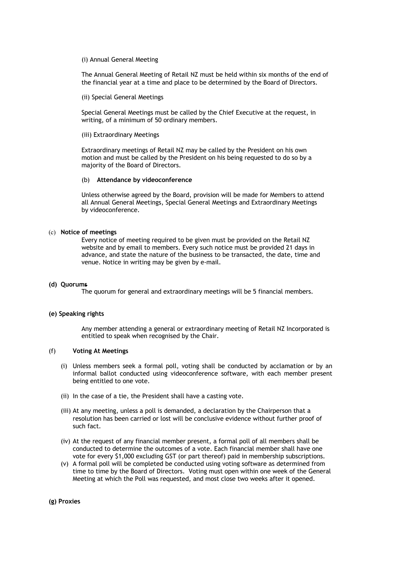## (i) Annual General Meeting

The Annual General Meeting of Retail NZ must be held within six months of the end of the financial year at a time and place to be determined by the Board of Directors.

(ii) Special General Meetings

Special General Meetings must be called by the Chief Executive at the request, in writing, of a minimum of 50 ordinary members.

#### (iii) Extraordinary Meetings

Extraordinary meetings of Retail NZ may be called by the President on his own motion and must be called by the President on his being requested to do so by a majority of the Board of Directors.

## (b) **Attendance by videoconference**

Unless otherwise agreed by the Board, provision will be made for Members to attend all Annual General Meetings, Special General Meetings and Extraordinary Meetings by videoconference.

## (c) **Notice of meetings**

Every notice of meeting required to be given must be provided on the Retail NZ website and by email to members. Every such notice must be provided 21 days in advance, and state the nature of the business to be transacted, the date, time and venue. Notice in writing may be given by e-mail.

#### **(d) Quorums**

The quorum for general and extraordinary meetings will be 5 financial members.

#### **(e) Speaking rights**

Any member attending a general or extraordinary meeting of Retail NZ Incorporated is entitled to speak when recognised by the Chair.

# (f) **Voting At Meetings**

- (i) Unless members seek a formal poll, voting shall be conducted by acclamation or by an informal ballot conducted using videoconference software, with each member present being entitled to one vote.
- (ii) In the case of a tie, the President shall have a casting vote.
- (iii) At any meeting, unless a poll is demanded, a declaration by the Chairperson that a resolution has been carried or lost will be conclusive evidence without further proof of such fact.
- (iv) At the request of any financial member present, a formal poll of all members shall be conducted to determine the outcomes of a vote. Each financial member shall have one vote for every \$1,000 excluding GST (or part thereof) paid in membership subscriptions.
- (v) A formal poll will be completed be conducted using voting software as determined from time to time by the Board of Directors. Voting must open within one week of the General Meeting at which the Poll was requested, and most close two weeks after it opened.

**(g) Proxies**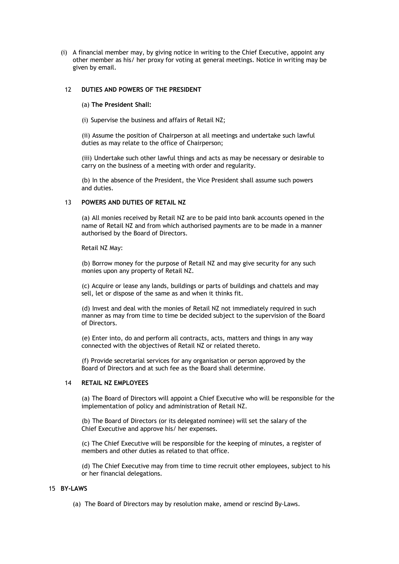(i) A financial member may, by giving notice in writing to the Chief Executive, appoint any other member as his/ her proxy for voting at general meetings. Notice in writing may be given by email.

## 12 **DUTIES AND POWERS OF THE PRESIDENT**

## (a) **The President Shall:**

(i) Supervise the business and affairs of Retail NZ;

(ii) Assume the position of Chairperson at all meetings and undertake such lawful duties as may relate to the office of Chairperson;

(iii) Undertake such other lawful things and acts as may be necessary or desirable to carry on the business of a meeting with order and regularity.

(b) In the absence of the President, the Vice President shall assume such powers and duties.

# 13 **POWERS AND DUTIES OF RETAIL NZ**

(a) All monies received by Retail NZ are to be paid into bank accounts opened in the name of Retail NZ and from which authorised payments are to be made in a manner authorised by the Board of Directors.

Retail NZ May:

(b) Borrow money for the purpose of Retail NZ and may give security for any such monies upon any property of Retail NZ.

(c) Acquire or lease any lands, buildings or parts of buildings and chattels and may sell, let or dispose of the same as and when it thinks fit.

(d) Invest and deal with the monies of Retail NZ not immediately required in such manner as may from time to time be decided subject to the supervision of the Board of Directors.

(e) Enter into, do and perform all contracts, acts, matters and things in any way connected with the objectives of Retail NZ or related thereto.

(f) Provide secretarial services for any organisation or person approved by the Board of Directors and at such fee as the Board shall determine.

# 14 **RETAIL NZ EMPLOYEES**

(a) The Board of Directors will appoint a Chief Executive who will be responsible for the implementation of policy and administration of Retail NZ.

(b) The Board of Directors (or its delegated nominee) will set the salary of the Chief Executive and approve his/ her expenses.

(c) The Chief Executive will be responsible for the keeping of minutes, a register of members and other duties as related to that office.

(d) The Chief Executive may from time to time recruit other employees, subject to his or her financial delegations.

## 15 **BY-LAWS**

(a) The Board of Directors may by resolution make, amend or rescind By-Laws.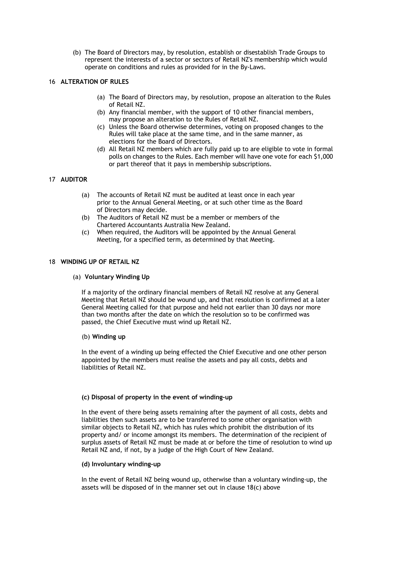(b) The Board of Directors may, by resolution, establish or disestablish Trade Groups to represent the interests of a sector or sectors of Retail NZ's membership which would operate on conditions and rules as provided for in the By-Laws.

# 16 **ALTERATION OF RULES**

- (a) The Board of Directors may, by resolution, propose an alteration to the Rules of Retail NZ.
- (b) Any financial member, with the support of 10 other financial members, may propose an alteration to the Rules of Retail NZ.
- (c) Unless the Board otherwise determines, voting on proposed changes to the Rules will take place at the same time, and in the same manner, as elections for the Board of Directors.
- (d) All Retail NZ members which are fully paid up to are eligible to vote in formal polls on changes to the Rules. Each member will have one vote for each \$1,000 or part thereof that it pays in membership subscriptions.

# 17 **AUDITOR**

- (a) The accounts of Retail NZ must be audited at least once in each year prior to the Annual General Meeting, or at such other time as the Board of Directors may decide.
- (b) The Auditors of Retail NZ must be a member or members of the Chartered Accountants Australia New Zealand.
- (c) When required, the Auditors will be appointed by the Annual General Meeting, for a specified term, as determined by that Meeting.

# 18 **WINDING UP OF RETAIL NZ**

## (a) **Voluntary Winding Up**

If a majority of the ordinary financial members of Retail NZ resolve at any General Meeting that Retail NZ should be wound up, and that resolution is confirmed at a later General Meeting called for that purpose and held not earlier than 30 days nor more than two months after the date on which the resolution so to be confirmed was passed, the Chief Executive must wind up Retail NZ.

#### (b) **Winding up**

In the event of a winding up being effected the Chief Executive and one other person appointed by the members must realise the assets and pay all costs, debts and liabilities of Retail NZ.

# **(c) Disposal of property in the event of winding-up**

In the event of there being assets remaining after the payment of all costs, debts and liabilities then such assets are to be transferred to some other organisation with similar objects to Retail NZ, which has rules which prohibit the distribution of its property and/ or income amongst its members. The determination of the recipient of surplus assets of Retail NZ must be made at or before the time of resolution to wind up Retail NZ and, if not, by a judge of the High Court of New Zealand.

### **(d) Involuntary winding-up**

In the event of Retail NZ being wound up, otherwise than a voluntary winding-up, the assets will be disposed of in the manner set out in clause 18(c) above